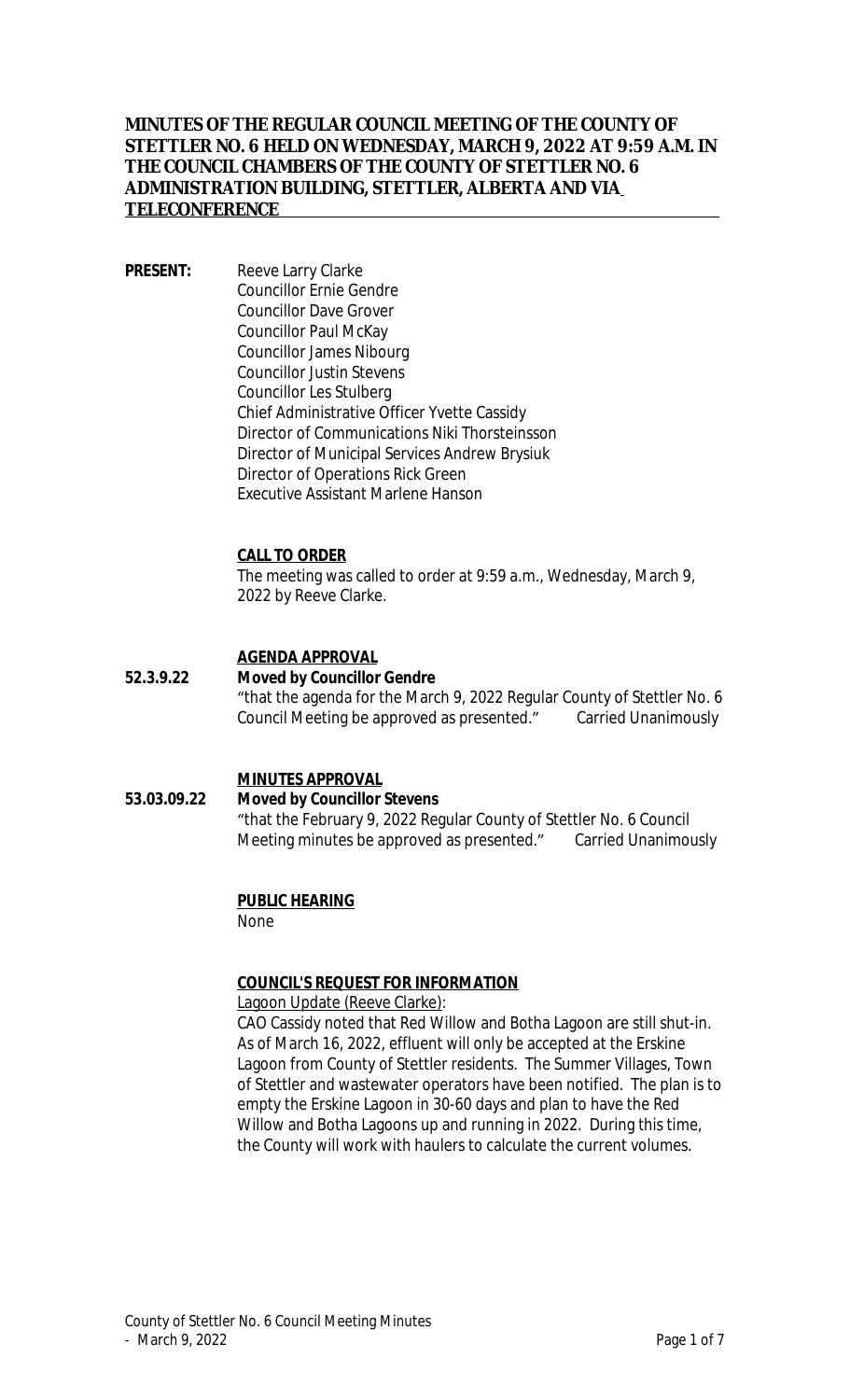### **MINUTES OF THE REGULAR COUNCIL MEETING OF THE COUNTY OF STETTLER NO. 6 HELD ON WEDNESDAY, MARCH 9, 2022 AT 9:59 A.M. IN THE COUNCIL CHAMBERS OF THE COUNTY OF STETTLER NO. 6 ADMINISTRATION BUILDING, STETTLER, ALBERTA AND VIA TELECONFERENCE**

**PRESENT:** Reeve Larry Clarke Councillor Ernie Gendre Councillor Dave Grover Councillor Paul McKay Councillor James Nibourg Councillor Justin Stevens Councillor Les Stulberg Chief Administrative Officer Yvette Cassidy Director of Communications Niki Thorsteinsson Director of Municipal Services Andrew Brysiuk Director of Operations Rick Green Executive Assistant Marlene Hanson

#### **CALL TO ORDER**

The meeting was called to order at 9:59 a.m., Wednesday, March 9, 2022 by Reeve Clarke.

### **AGENDA APPROVAL**

#### **52.3.9.22 Moved by Councillor Gendre** "that the agenda for the March 9, 2022 Regular County of Stettler No. 6 Council Meeting be approved as presented." Carried Unanimously

#### **MINUTES APPROVAL**

#### **53.03.09.22 Moved by Councillor Stevens** "that the February 9, 2022 Regular County of Stettler No. 6 Council Meeting minutes be approved as presented." Carried Unanimously

#### **PUBLIC HEARING**

None

#### **COUNCIL'S REQUEST FOR INFORMATION**

Lagoon Update (Reeve Clarke):

CAO Cassidy noted that Red Willow and Botha Lagoon are still shut-in. As of March 16, 2022, effluent will only be accepted at the Erskine Lagoon from County of Stettler residents. The Summer Villages, Town of Stettler and wastewater operators have been notified. The plan is to empty the Erskine Lagoon in 30-60 days and plan to have the Red Willow and Botha Lagoons up and running in 2022. During this time, the County will work with haulers to calculate the current volumes.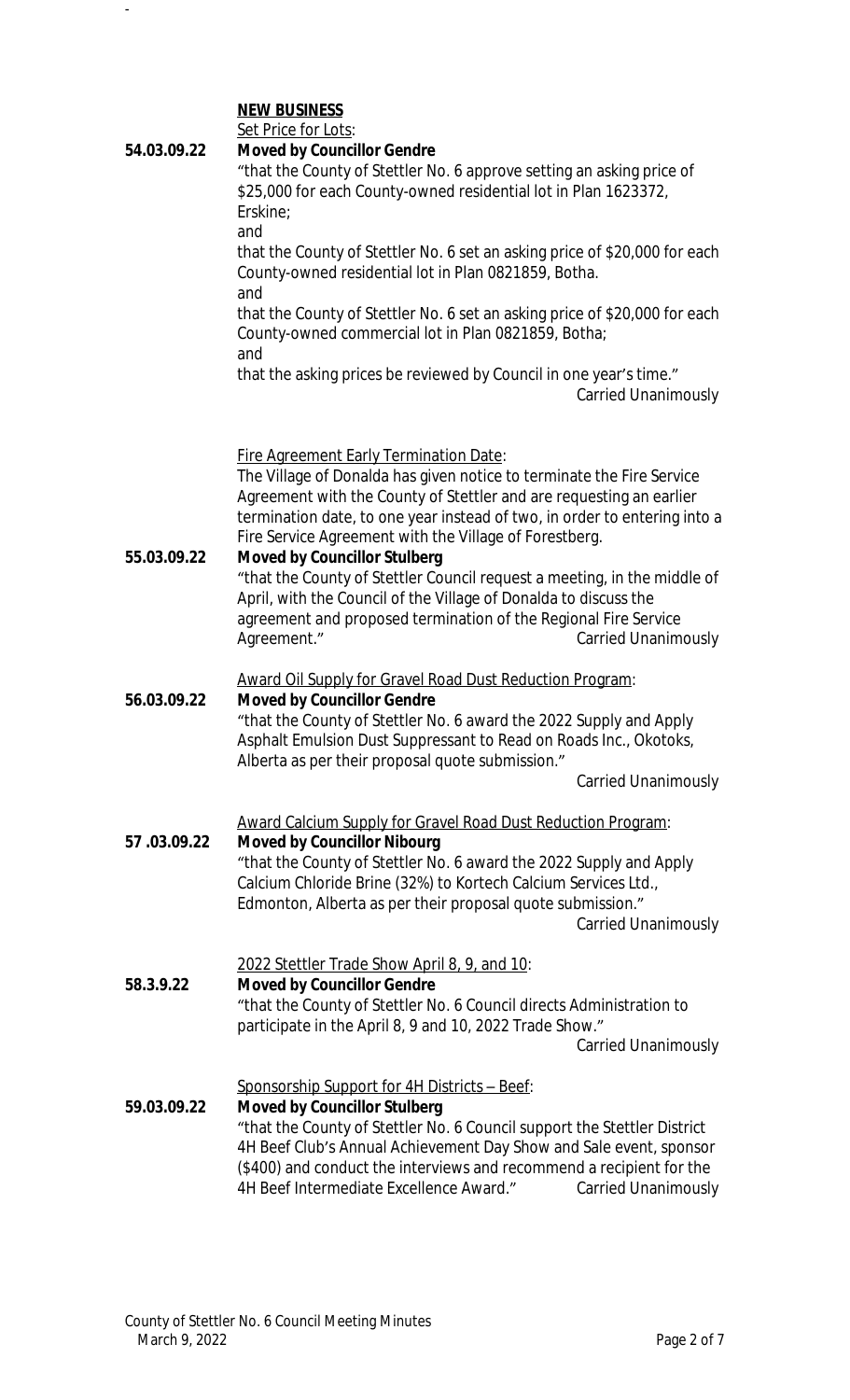### **NEW BUSINESS**

-

| 54.03.09.22 | Set Price for Lots:<br><b>Moved by Councillor Gendre</b><br>"that the County of Stettler No. 6 approve setting an asking price of<br>\$25,000 for each County-owned residential lot in Plan 1623372,<br>Erskine;<br>and                                                                                                                                                         |
|-------------|---------------------------------------------------------------------------------------------------------------------------------------------------------------------------------------------------------------------------------------------------------------------------------------------------------------------------------------------------------------------------------|
|             | that the County of Stettler No. 6 set an asking price of \$20,000 for each<br>County-owned residential lot in Plan 0821859, Botha.<br>and                                                                                                                                                                                                                                       |
|             | that the County of Stettler No. 6 set an asking price of \$20,000 for each<br>County-owned commercial lot in Plan 0821859, Botha;<br>and                                                                                                                                                                                                                                        |
|             | that the asking prices be reviewed by Council in one year's time."<br><b>Carried Unanimously</b>                                                                                                                                                                                                                                                                                |
| 55.03.09.22 | Fire Agreement Early Termination Date:<br>The Village of Donalda has given notice to terminate the Fire Service<br>Agreement with the County of Stettler and are requesting an earlier<br>termination date, to one year instead of two, in order to entering into a<br>Fire Service Agreement with the Village of Forestberg.<br><b>Moved by Councillor Stulberg</b>            |
|             | "that the County of Stettler Council request a meeting, in the middle of<br>April, with the Council of the Village of Donalda to discuss the<br>agreement and proposed termination of the Regional Fire Service<br>Agreement."<br><b>Carried Unanimously</b>                                                                                                                    |
|             | Award Oil Supply for Gravel Road Dust Reduction Program:                                                                                                                                                                                                                                                                                                                        |
| 56.03.09.22 | <b>Moved by Councillor Gendre</b><br>"that the County of Stettler No. 6 award the 2022 Supply and Apply<br>Asphalt Emulsion Dust Suppressant to Read on Roads Inc., Okotoks,<br>Alberta as per their proposal quote submission."<br><b>Carried Unanimously</b>                                                                                                                  |
| 57.03.09.22 | Award Calcium Supply for Gravel Road Dust Reduction Program:<br><b>Moved by Councillor Nibourg</b><br>"that the County of Stettler No. 6 award the 2022 Supply and Apply<br>Calcium Chloride Brine (32%) to Kortech Calcium Services Ltd.,<br>Edmonton, Alberta as per their proposal quote submission."<br><b>Carried Unanimously</b>                                          |
| 58.3.9.22   | 2022 Stettler Trade Show April 8, 9, and 10:<br><b>Moved by Councillor Gendre</b><br>"that the County of Stettler No. 6 Council directs Administration to<br>participate in the April 8, 9 and 10, 2022 Trade Show."<br><b>Carried Unanimously</b>                                                                                                                              |
| 59.03.09.22 | Sponsorship Support for 4H Districts - Beef:<br><b>Moved by Councillor Stulberg</b><br>"that the County of Stettler No. 6 Council support the Stettler District<br>4H Beef Club's Annual Achievement Day Show and Sale event, sponsor<br>(\$400) and conduct the interviews and recommend a recipient for the<br>4H Beef Intermediate Excellence Award."<br>Carried Unanimously |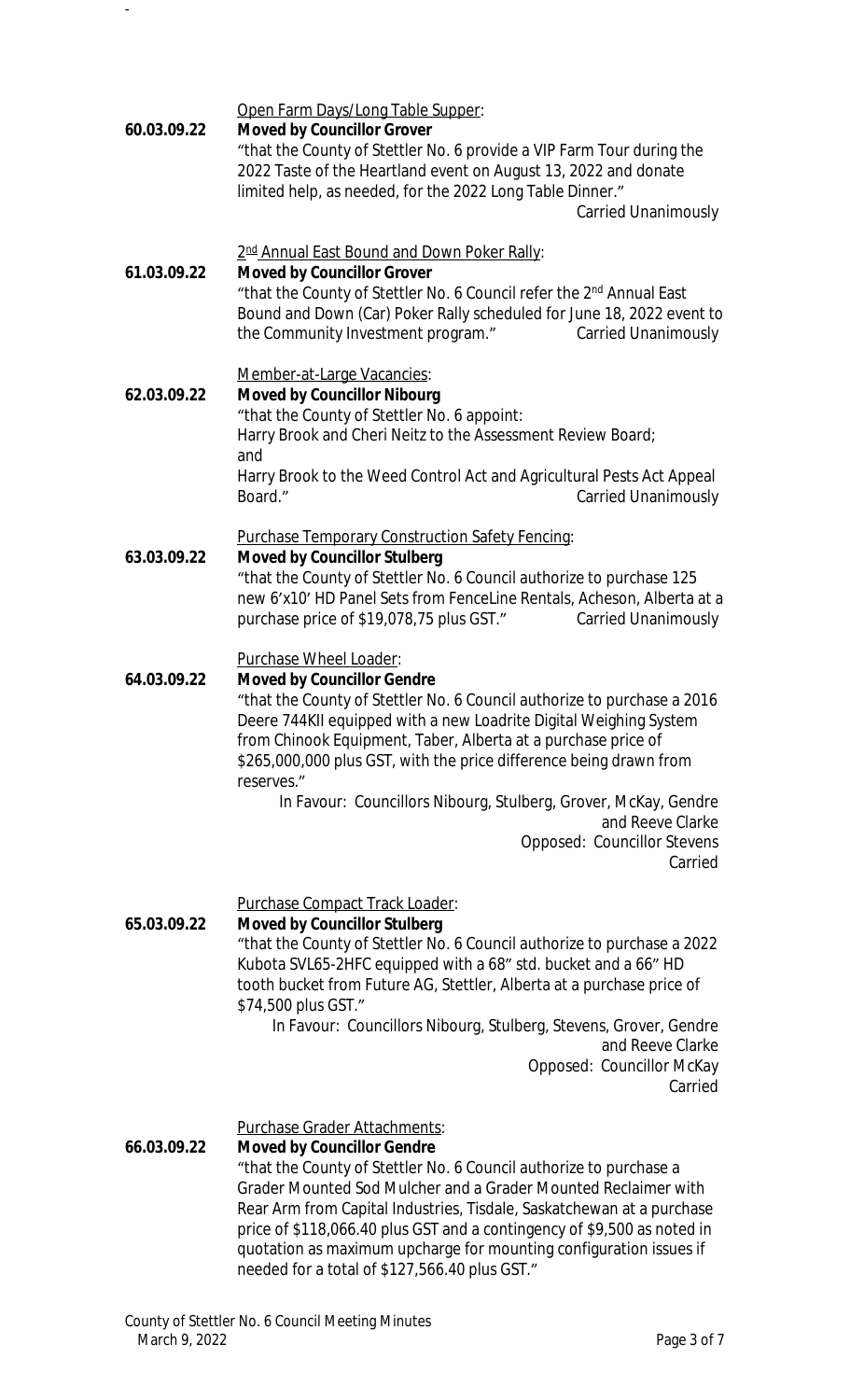Open Farm Days/Long Table Supper:

### **60.03.09.22 Moved by Councillor Grover**

-

"that the County of Stettler No. 6 provide a VIP Farm Tour during the 2022 Taste of the Heartland event on August 13, 2022 and donate limited help, as needed, for the 2022 Long Table Dinner."

Carried Unanimously

#### 2<sup>nd</sup> Annual East Bound and Down Poker Rally:

#### **61.03.09.22 Moved by Councillor Grover**

"that the County of Stettler No. 6 Council refer the 2nd Annual East Bound and Down (Car) Poker Rally scheduled for June 18, 2022 event to the Community Investment program." Carried Unanimously

### Member-at-Large Vacancies:

#### **62.03.09.22 Moved by Councillor Nibourg** "that the County of Stettler No. 6 appoint: Harry Brook and Cheri Neitz to the Assessment Review Board; and Harry Brook to the Weed Control Act and Agricultural Pests Act Appeal Board." Carried Unanimously

### Purchase Temporary Construction Safety Fencing:

### **63.03.09.22 Moved by Councillor Stulberg**

"that the County of Stettler No. 6 Council authorize to purchase 125 new 6'x10' HD Panel Sets from FenceLine Rentals, Acheson, Alberta at a purchase price of \$19,078,75 plus GST." Carried Unanimously

#### Purchase Wheel Loader:

### **64.03.09.22 Moved by Councillor Gendre**

"that the County of Stettler No. 6 Council authorize to purchase a 2016 Deere 744KII equipped with a new Loadrite Digital Weighing System from Chinook Equipment, Taber, Alberta at a purchase price of \$265,000,000 plus GST, with the price difference being drawn from reserves."

In Favour: Councillors Nibourg, Stulberg, Grover, McKay, Gendre and Reeve Clarke Opposed: Councillor Stevens Carried

Purchase Compact Track Loader:

### **65.03.09.22 Moved by Councillor Stulberg**

"that the County of Stettler No. 6 Council authorize to purchase a 2022 Kubota SVL65-2HFC equipped with a 68" std. bucket and a 66" HD tooth bucket from Future AG, Stettler, Alberta at a purchase price of \$74,500 plus GST."

In Favour: Councillors Nibourg, Stulberg, Stevens, Grover, Gendre and Reeve Clarke Opposed: Councillor McKay Carried

Purchase Grader Attachments:

### **66.03.09.22 Moved by Councillor Gendre**

"that the County of Stettler No. 6 Council authorize to purchase a Grader Mounted Sod Mulcher and a Grader Mounted Reclaimer with Rear Arm from Capital Industries, Tisdale, Saskatchewan at a purchase price of \$118,066.40 plus GST and a contingency of \$9,500 as noted in quotation as maximum upcharge for mounting configuration issues if needed for a total of \$127,566.40 plus GST."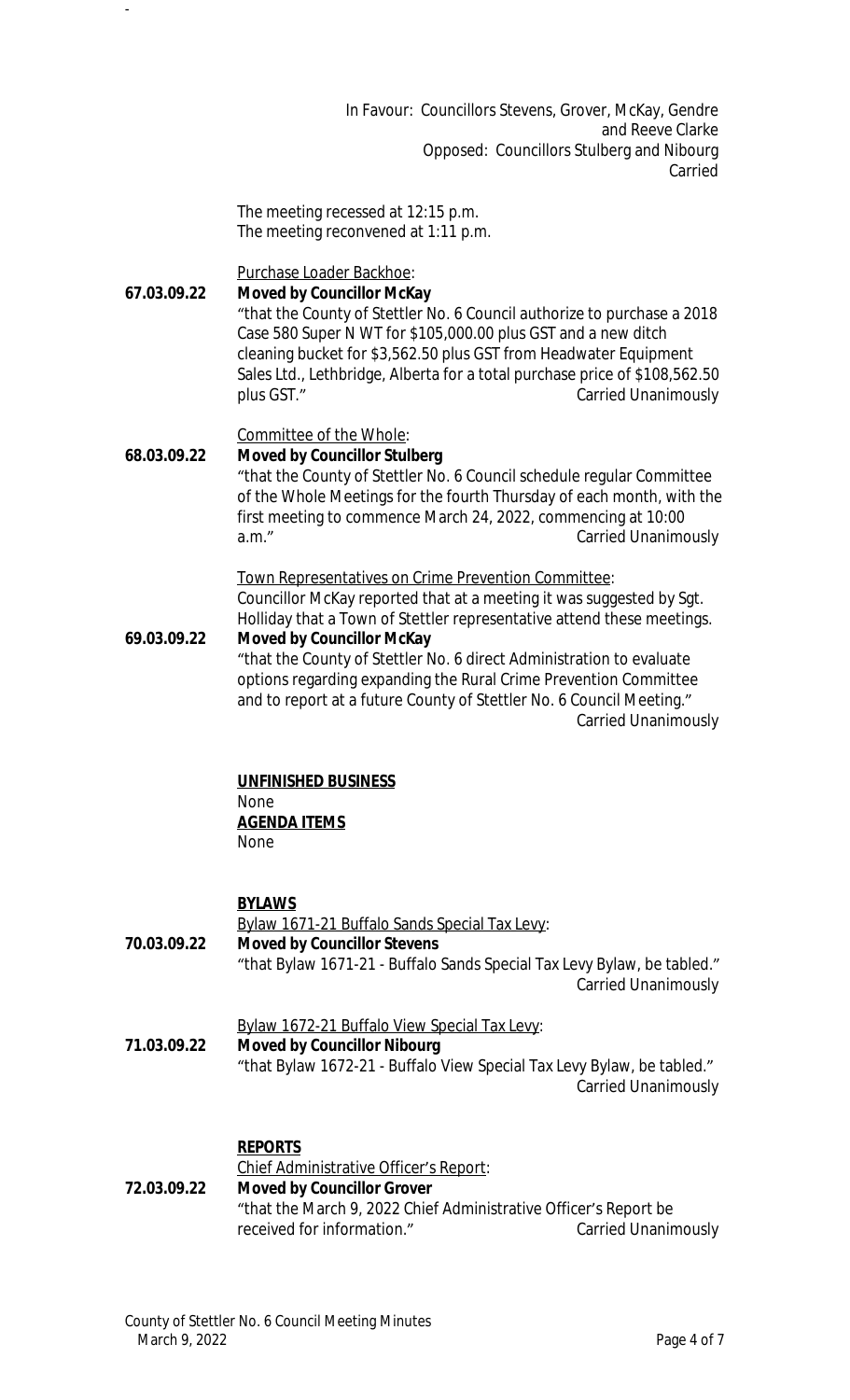In Favour: Councillors Stevens, Grover, McKay, Gendre and Reeve Clarke Opposed: Councillors Stulberg and Nibourg Carried

The meeting recessed at 12:15 p.m. The meeting reconvened at 1:11 p.m.

Purchase Loader Backhoe:

### **67.03.09.22 Moved by Councillor McKay**

-

"that the County of Stettler No. 6 Council authorize to purchase a 2018 Case 580 Super N WT for \$105,000.00 plus GST and a new ditch cleaning bucket for \$3,562.50 plus GST from Headwater Equipment Sales Ltd., Lethbridge, Alberta for a total purchase price of \$108,562.50 plus GST." Carried Unanimously

Committee of the Whole:

#### **68.03.09.22 Moved by Councillor Stulberg** "that the County of Stettler No. 6 Council schedule regular Committee of the Whole Meetings for the fourth Thursday of each month, with the first meeting to commence March 24, 2022, commencing at 10:00 a.m." Carried Unanimously

Town Representatives on Crime Prevention Committee: Councillor McKay reported that at a meeting it was suggested by Sgt. Holliday that a Town of Stettler representative attend these meetings.

#### **69.03.09.22 Moved by Councillor McKay** "that the County of Stettler No. 6 direct Administration to evaluate options regarding expanding the Rural Crime Prevention Committee and to report at a future County of Stettler No. 6 Council Meeting."

Carried Unanimously

# **UNFINISHED BUSINESS**

**None** 

**AGENDA ITEMS** None

### **BYLAWS**

Bylaw 1671-21 Buffalo Sands Special Tax Levy: **70.03.09.22 Moved by Councillor Stevens** "that Bylaw 1671-21 - Buffalo Sands Special Tax Levy Bylaw, be tabled."

Carried Unanimously

Bylaw 1672-21 Buffalo View Special Tax Levy:

**71.03.09.22 Moved by Councillor Nibourg** "that Bylaw 1672-21 - Buffalo View Special Tax Levy Bylaw, be tabled." Carried Unanimously

### **REPORTS**

#### Chief Administrative Officer's Report: **72.03.09.22 Moved by Councillor Grover** "that the March 9, 2022 Chief Administrative Officer's Report be received for information." The Carried Unanimously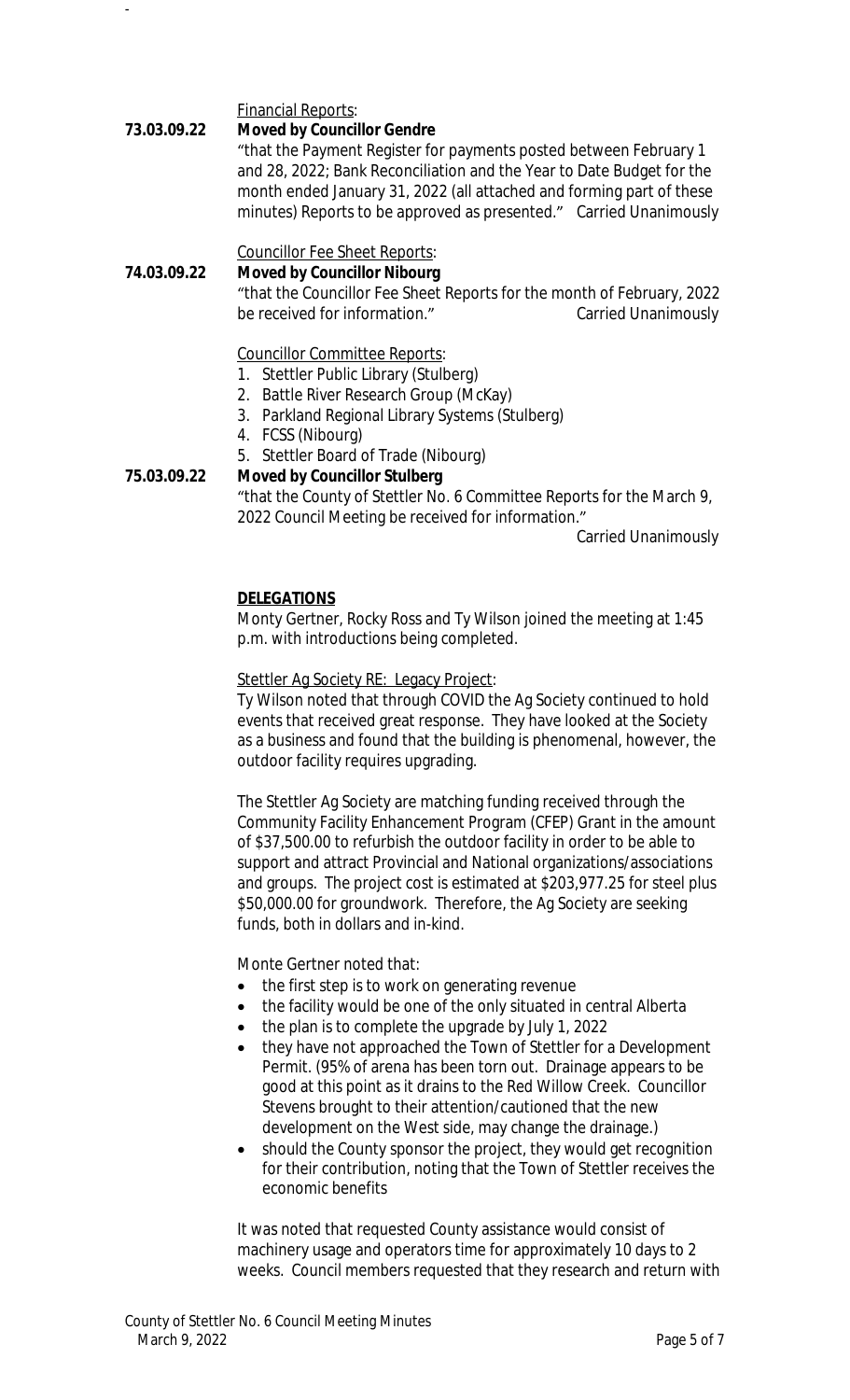Financial Reports:

-

### **73.03.09.22 Moved by Councillor Gendre**

"that the Payment Register for payments posted between February 1 and 28, 2022; Bank Reconciliation and the Year to Date Budget for the month ended January 31, 2022 (all attached and forming part of these minutes) Reports to be approved as presented." Carried Unanimously

Councillor Fee Sheet Reports:

#### **74.03.09.22 Moved by Councillor Nibourg**

"that the Councillor Fee Sheet Reports for the month of February, 2022 be received for information." Carried Unanimously

Councillor Committee Reports:

- 1. Stettler Public Library (Stulberg)
- 2. Battle River Research Group (McKay)
- 3. Parkland Regional Library Systems (Stulberg)
- 4. FCSS (Nibourg)
- 5. Stettler Board of Trade (Nibourg)

### **75.03.09.22 Moved by Councillor Stulberg**

"that the County of Stettler No. 6 Committee Reports for the March 9, 2022 Council Meeting be received for information."

Carried Unanimously

#### **DELEGATIONS**

Monty Gertner, Rocky Ross and Ty Wilson joined the meeting at 1:45 p.m. with introductions being completed.

Stettler Ag Society RE: Legacy Project:

Ty Wilson noted that through COVID the Ag Society continued to hold events that received great response. They have looked at the Society as a business and found that the building is phenomenal, however, the outdoor facility requires upgrading.

The Stettler Ag Society are matching funding received through the Community Facility Enhancement Program (CFEP) Grant in the amount of \$37,500.00 to refurbish the outdoor facility in order to be able to support and attract Provincial and National organizations/associations and groups. The project cost is estimated at \$203,977.25 for steel plus \$50,000.00 for groundwork. Therefore, the Ag Society are seeking funds, both in dollars and in-kind.

Monte Gertner noted that:

- the first step is to work on generating revenue
- the facility would be one of the only situated in central Alberta
- the plan is to complete the upgrade by July 1, 2022
- they have not approached the Town of Stettler for a Development Permit. (95% of arena has been torn out. Drainage appears to be good at this point as it drains to the Red Willow Creek. Councillor Stevens brought to their attention/cautioned that the new development on the West side, may change the drainage.)
- should the County sponsor the project, they would get recognition for their contribution, noting that the Town of Stettler receives the economic benefits

It was noted that requested County assistance would consist of machinery usage and operators time for approximately 10 days to 2 weeks. Council members requested that they research and return with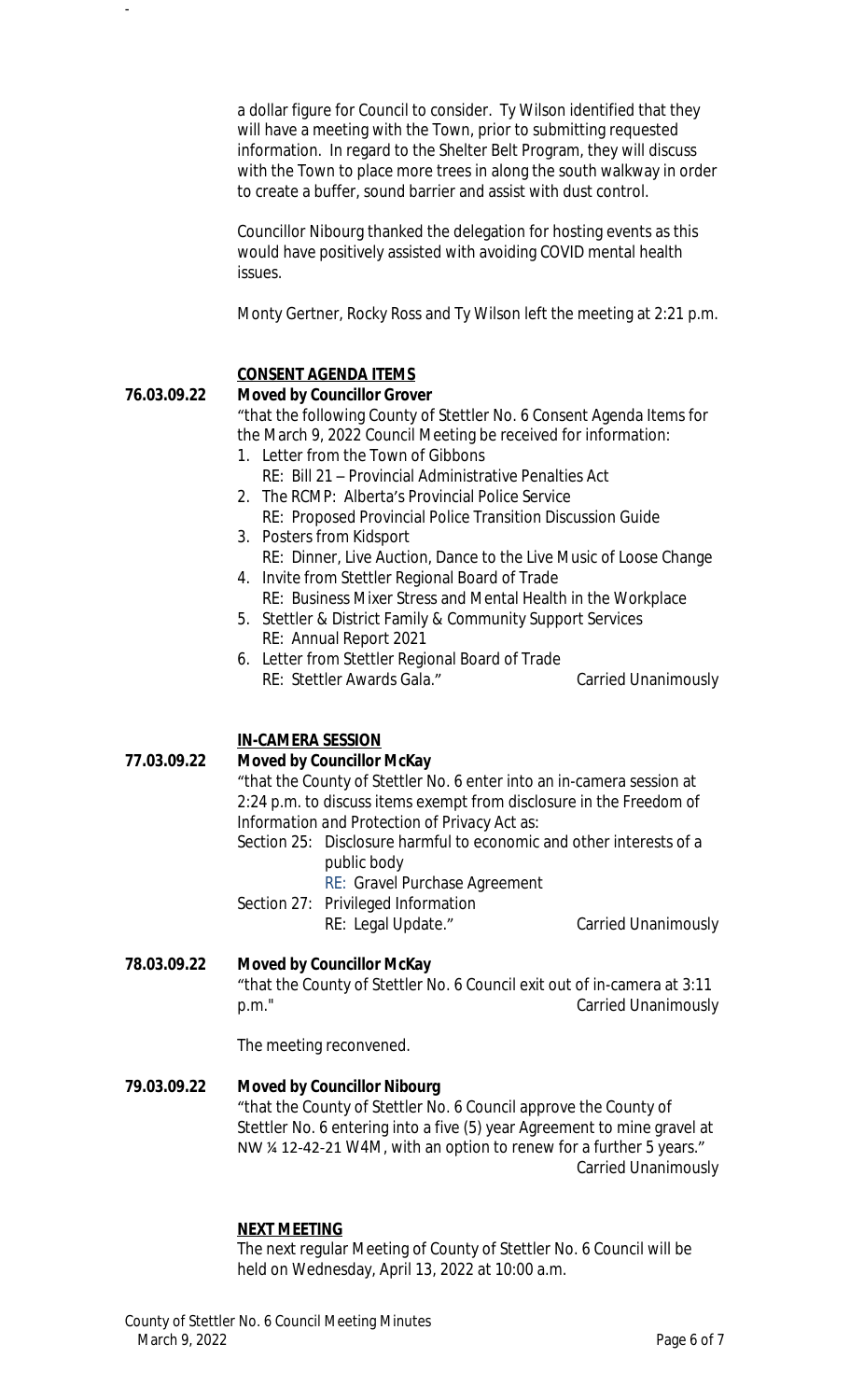a dollar figure for Council to consider. Ty Wilson identified that they will have a meeting with the Town, prior to submitting requested information. In regard to the Shelter Belt Program, they will discuss with the Town to place more trees in along the south walkway in order to create a buffer, sound barrier and assist with dust control.

Councillor Nibourg thanked the delegation for hosting events as this would have positively assisted with avoiding COVID mental health issues.

Monty Gertner, Rocky Ross and Ty Wilson left the meeting at 2:21 p.m.

# **CONSENT AGENDA ITEMS**

### **76.03.09.22 Moved by Councillor Grover**

-

"that the following County of Stettler No. 6 Consent Agenda Items for the March 9, 2022 Council Meeting be received for information:

- 1. Letter from the Town of Gibbons
	- RE: Bill 21 Provincial Administrative Penalties Act
- 2. The RCMP: Alberta's Provincial Police Service RE: Proposed Provincial Police Transition Discussion Guide
- 3. Posters from Kidsport
- RE: Dinner, Live Auction, Dance to the Live Music of Loose Change 4. Invite from Stettler Regional Board of Trade
- RE: Business Mixer Stress and Mental Health in the Workplace
- 5. Stettler & District Family & Community Support Services RE: Annual Report 2021
- 6. Letter from Stettler Regional Board of Trade RE: Stettler Awards Gala." Carried Unanimously

# **IN-CAMERA SESSION**

### **77.03.09.22 Moved by Councillor McKay**

"that the County of Stettler No. 6 enter into an in-camera session at 2:24 p.m. to discuss items exempt from disclosure in the *Freedom of Information and Protection of Privacy Act* as:

Section 25: Disclosure harmful to economic and other interests of a public body

RE: Gravel Purchase Agreement

Section 27: Privileged Information RE: Legal Update." Carried Unanimously

**78.03.09.22 Moved by Councillor McKay** "that the County of Stettler No. 6 Council exit out of in-camera at 3:11 p.m." Carried Unanimously

The meeting reconvened.

# **79.03.09.22 Moved by Councillor Nibourg**

"that the County of Stettler No. 6 Council approve the County of Stettler No. 6 entering into a five (5) year Agreement to mine gravel at NW ¼ 12-42-21 W4M, with an option to renew for a further 5 years." Carried Unanimously

### **NEXT MEETING**

The next regular Meeting of County of Stettler No. 6 Council will be held on Wednesday, April 13, 2022 at 10:00 a.m.